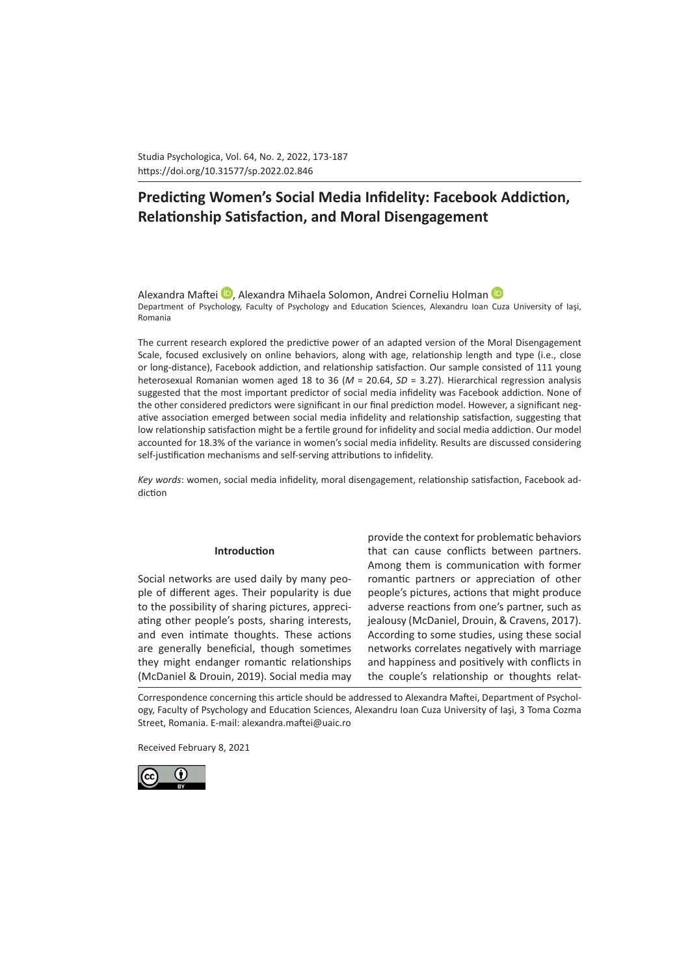Studia Psychologica, Vol. 64, No. 2, 2022, 173-187 https://doi.org/10.31577/sp.2022.02.846 

# **Predicting Women's Social Media Infidelity: Facebook Addiction, Relationship Satisfaction, and Moral Disengagement**

AlexandraMaftei **D**, Alexandra Mihaela Solomon, Andrei Corneliu Holman D Department of Psychology, Faculty of Psychology and Education Sciences, Alexandru Ioan Cuza University of Iaşi, Romania

The current research explored the predictive power of an adapted version of the Moral Disengagement Scale, focused exclusively on online behaviors, along with age, relationship length and type (i.e., close or long-distance), Facebook addiction, and relationship satisfaction. Our sample consisted of 111 young heterosexual Romanian women aged 18 to 36 (*M* = 20.64, *SD* = 3.27). Hierarchical regression analysis suggested that the most important predictor of social media infidelity was Facebook addiction. None of the other considered predictors were significant in our final prediction model. However, a significant negative association emerged between social media infidelity and relationship satisfaction, suggesting that low relationship satisfaction might be a fertile ground for infidelity and social media addiction. Our model accounted for 18.3% of the variance in women's social media infidelity. Results are discussed considering self-justification mechanisms and self-serving attributions to infidelity.

*Key words*: women, social media infidelity, moral disengagement, relationship satisfaction, Facebook addiction

### **Introduction**

Social networks are used daily by many people of different ages. Their popularity is due to the possibility of sharing pictures, appreciating other people's posts, sharing interests, and even intimate thoughts. These actions are generally beneficial, though sometimes they might endanger romantic relationships (McDaniel & Drouin, 2019). Social media may

provide the context for problematic behaviors that can cause conflicts between partners. Among them is communication with former romantic partners or appreciation of other people's pictures, actions that might produce adverse reactions from one's partner, such as jealousy (McDaniel, Drouin, & Cravens, 2017). According to some studies, using these social networks correlates negatively with marriage and happiness and positively with conflicts in the couple's relationship or thoughts relat-

Correspondence concerning this article should be addressed to Alexandra Maftei, Department of Psychology, Faculty of Psychology and Education Sciences, Alexandru Ioan Cuza University of Iaşi, 3 Toma Cozma Street, Romania. E-mail: alexandra.maftei@uaic.ro

Received February 8, 2021

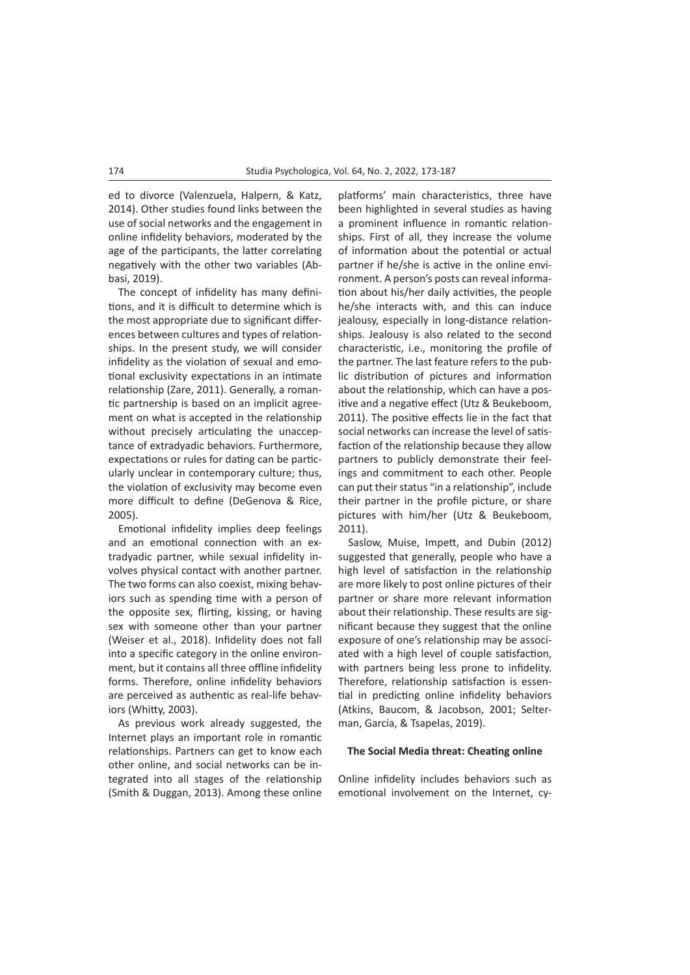ed to divorce (Valenzuela, Halpern, & Katz, 2014). Other studies found links between the use of social networks and the engagement in online infidelity behaviors, moderated by the age of the participants, the latter correlating negatively with the other two variables (Abbasi, 2019).

The concept of infidelity has many definitions, and it is difficult to determine which is the most appropriate due to significant differences between cultures and types of relationships. In the present study, we will consider infidelity as the violation of sexual and emotional exclusivity expectations in an intimate relationship (Zare, 2011). Generally, a romantic partnership is based on an implicit agreement on what is accepted in the relationship without precisely articulating the unacceptance of extradyadic behaviors. Furthermore, expectations or rules for dating can be particularly unclear in contemporary culture; thus, the violation of exclusivity may become even more difficult to define (DeGenova & Rice, 2005).

Emotional infidelity implies deep feelings and an emotional connection with an extradyadic partner, while sexual infidelity involves physical contact with another partner. The two forms can also coexist, mixing behaviors such as spending time with a person of the opposite sex, flirting, kissing, or having sex with someone other than your partner (Weiser et al., 2018). Infidelity does not fall into a specific category in the online environment, but it contains all three offline infidelity forms. Therefore, online infidelity behaviors are perceived as authentic as real-life behaviors (Whitty, 2003).

As previous work already suggested, the Internet plays an important role in romantic relationships. Partners can get to know each other online, and social networks can be integrated into all stages of the relationship (Smith & Duggan, 2013). Among these online

platforms' main characteristics, three have been highlighted in several studies as having a prominent influence in romantic relationships. First of all, they increase the volume of information about the potential or actual partner if he/she is active in the online environment. A person's posts can reveal information about his/her daily activities, the people he/she interacts with, and this can induce jealousy, especially in long-distance relationships. Jealousy is also related to the second characteristic, i.e., monitoring the profile of the partner. The last feature refers to the public distribution of pictures and information about the relationship, which can have a positive and a negative effect (Utz & Beukeboom, 2011). The positive effects lie in the fact that social networks can increase the level of satisfaction of the relationship because they allow partners to publicly demonstrate their feelings and commitment to each other. People can put their status "in a relationship", include their partner in the profile picture, or share pictures with him/her (Utz & Beukeboom, 2011).

Saslow, Muise, Impett, and Dubin (2012) suggested that generally, people who have a high level of satisfaction in the relationship are more likely to post online pictures of their partner or share more relevant information about their relationship. These results are significant because they suggest that the online exposure of one's relationship may be associated with a high level of couple satisfaction, with partners being less prone to infidelity. Therefore, relationship satisfaction is essential in predicting online infidelity behaviors (Atkins, Baucom, & Jacobson, 2001; Selterman, Garcia, & Tsapelas, 2019).

# **The Social Media threat: Cheating online**

Online infidelity includes behaviors such as emotional involvement on the Internet, cy-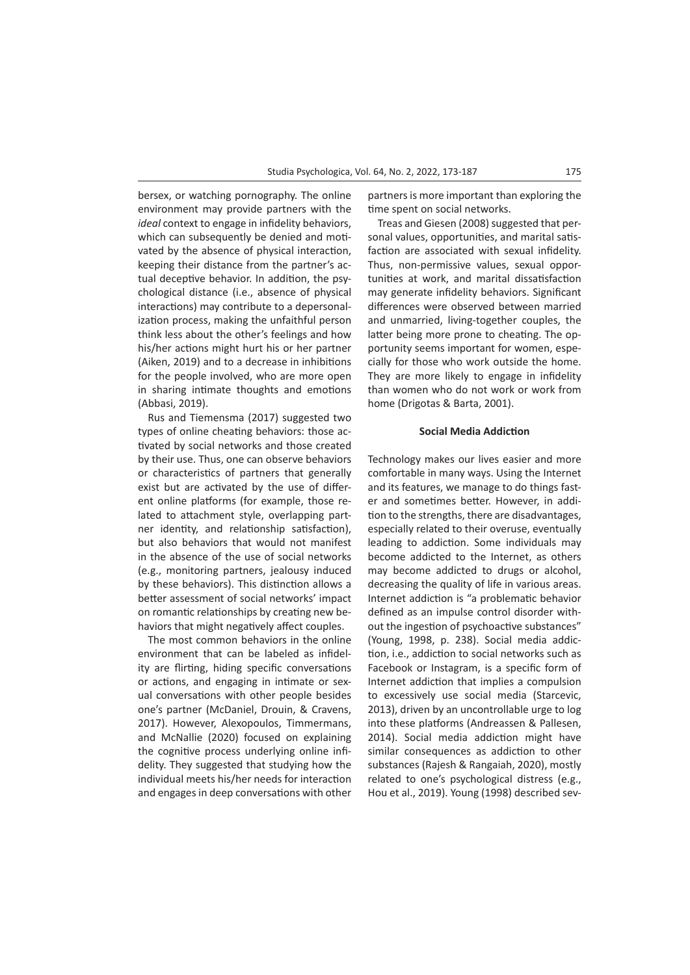bersex, or watching pornography. The online environment may provide partners with the *ideal* context to engage in infidelity behaviors, which can subsequently be denied and motivated by the absence of physical interaction, keeping their distance from the partner's actual deceptive behavior. In addition, the psychological distance (i.e., absence of physical interactions) may contribute to a depersonalization process, making the unfaithful person think less about the other's feelings and how his/her actions might hurt his or her partner (Aiken, 2019) and to a decrease in inhibitions for the people involved, who are more open in sharing intimate thoughts and emotions (Abbasi, 2019).

Rus and Tiemensma (2017) suggested two types of online cheating behaviors: those activated by social networks and those created by their use. Thus, one can observe behaviors or characteristics of partners that generally exist but are activated by the use of different online platforms (for example, those related to attachment style, overlapping partner identity, and relationship satisfaction), but also behaviors that would not manifest in the absence of the use of social networks (e.g., monitoring partners, jealousy induced by these behaviors). This distinction allows a better assessment of social networks' impact on romantic relationships by creating new behaviors that might negatively affect couples.

The most common behaviors in the online environment that can be labeled as infidelity are flirting, hiding specific conversations or actions, and engaging in intimate or sexual conversations with other people besides one's partner (McDaniel, Drouin, & Cravens, 2017). However, Alexopoulos, Timmermans, and McNallie (2020) focused on explaining the cognitive process underlying online infidelity. They suggested that studying how the individual meets his/her needs for interaction and engages in deep conversations with other partners is more important than exploring the time spent on social networks.

Treas and Giesen (2008) suggested that personal values, opportunities, and marital satisfaction are associated with sexual infidelity. Thus, non-permissive values, sexual opportunities at work, and marital dissatisfaction may generate infidelity behaviors. Significant differences were observed between married and unmarried, living-together couples, the latter being more prone to cheating. The opportunity seems important for women, especially for those who work outside the home. They are more likely to engage in infidelity than women who do not work or work from home (Drigotas & Barta, 2001).

#### **Social Media Addiction**

Technology makes our lives easier and more comfortable in many ways. Using the Internet and its features, we manage to do things faster and sometimes better. However, in addition to the strengths, there are disadvantages, especially related to their overuse, eventually leading to addiction. Some individuals may become addicted to the Internet, as others may become addicted to drugs or alcohol, decreasing the quality of life in various areas. Internet addiction is "a problematic behavior defined as an impulse control disorder without the ingestion of psychoactive substances" (Young, 1998, p. 238). Social media addiction, i.e., addiction to social networks such as Facebook or Instagram, is a specific form of Internet addiction that implies a compulsion to excessively use social media (Starcevic, 2013), driven by an uncontrollable urge to log into these platforms (Andreassen & Pallesen, 2014). Social media addiction might have similar consequences as addiction to other substances (Rajesh & Rangaiah, 2020), mostly related to one's psychological distress (e.g., Hou et al., 2019). Young (1998) described sev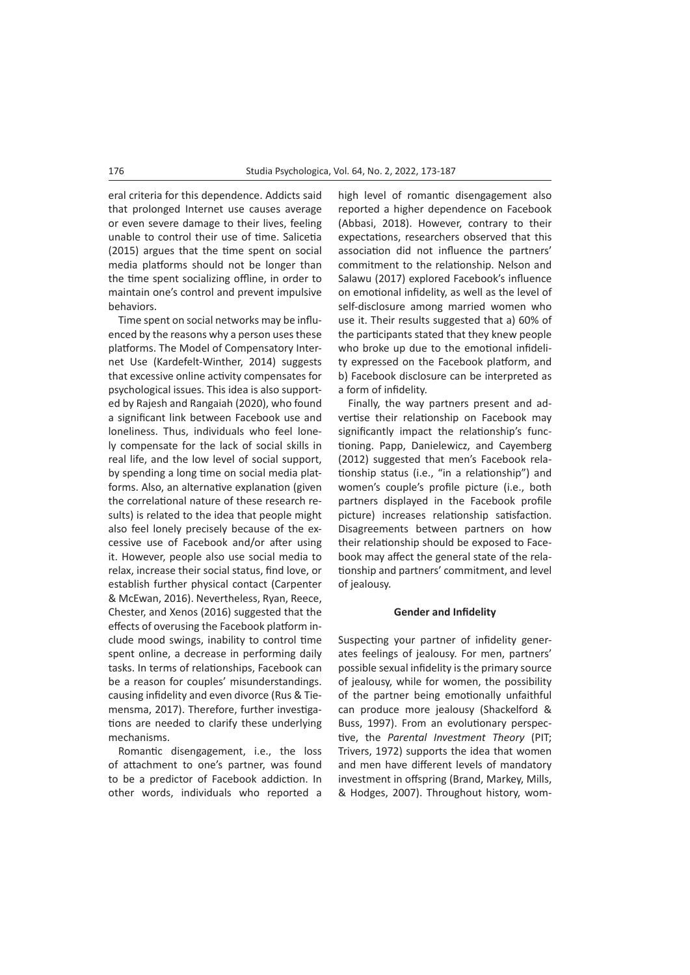eral criteria for this dependence. Addicts said that prolonged Internet use causes average or even severe damage to their lives, feeling unable to control their use of time. Salicetia (2015) argues that the time spent on social media platforms should not be longer than the time spent socializing offline, in order to maintain one's control and prevent impulsive behaviors.

Time spent on social networks may be influenced by the reasons why a person uses these platforms. The Model of Compensatory Internet Use (Kardefelt-Winther, 2014) suggests that excessive online activity compensates for psychological issues. This idea is also supported by Rajesh and Rangaiah (2020), who found a significant link between Facebook use and loneliness. Thus, individuals who feel lonely compensate for the lack of social skills in real life, and the low level of social support, by spending a long time on social media platforms. Also, an alternative explanation (given the correlational nature of these research results) is related to the idea that people might also feel lonely precisely because of the excessive use of Facebook and/or after using it. However, people also use social media to relax, increase their social status, find love, or establish further physical contact (Carpenter & McEwan, 2016). Nevertheless, Ryan, Reece, Chester, and Xenos (2016) suggested that the effects of overusing the Facebook platform include mood swings, inability to control time spent online, a decrease in performing daily tasks. In terms of relationships, Facebook can be a reason for couples' misunderstandings. causing infidelity and even divorce (Rus & Tiemensma, 2017). Therefore, further investigations are needed to clarify these underlying mechanisms.

Romantic disengagement, i.e., the loss of attachment to one's partner, was found to be a predictor of Facebook addiction. In other words, individuals who reported a

high level of romantic disengagement also reported a higher dependence on Facebook (Abbasi, 2018). However, contrary to their expectations, researchers observed that this association did not influence the partners' commitment to the relationship. Nelson and Salawu (2017) explored Facebook's influence on emotional infidelity, as well as the level of self-disclosure among married women who use it. Their results suggested that a) 60% of the participants stated that they knew people who broke up due to the emotional infidelity expressed on the Facebook platform, and b) Facebook disclosure can be interpreted as a form of infidelity.

Finally, the way partners present and advertise their relationship on Facebook may significantly impact the relationship's functioning. Papp, Danielewicz, and Cayemberg (2012) suggested that men's Facebook relationship status (i.e., "in a relationship") and women's couple's profile picture (i.e., both partners displayed in the Facebook profile picture) increases relationship satisfaction. Disagreements between partners on how their relationship should be exposed to Facebook may affect the general state of the relationship and partners' commitment, and level of jealousy.

# **Gender and Infidelity**

Suspecting your partner of infidelity generates feelings of jealousy. For men, partners' possible sexual infidelity is the primary source of jealousy, while for women, the possibility of the partner being emotionally unfaithful can produce more jealousy (Shackelford & Buss, 1997). From an evolutionary perspective, the *Parental Investment Theory* (PIT; Trivers, 1972) supports the idea that women and men have different levels of mandatory investment in offspring (Brand, Markey, Mills, & Hodges, 2007). Throughout history, wom-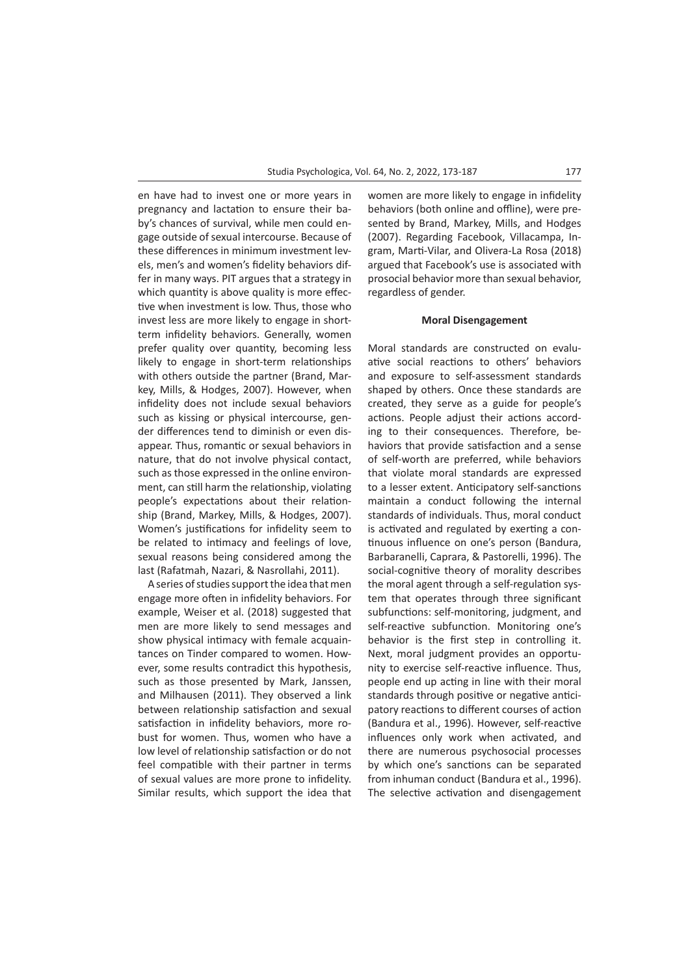en have had to invest one or more years in pregnancy and lactation to ensure their baby's chances of survival, while men could engage outside of sexual intercourse. Because of these differences in minimum investment levels, men's and women's fidelity behaviors differ in many ways. PIT argues that a strategy in which quantity is above quality is more effective when investment is low. Thus, those who invest less are more likely to engage in shortterm infidelity behaviors. Generally, women prefer quality over quantity, becoming less likely to engage in short-term relationships with others outside the partner (Brand, Markey, Mills, & Hodges, 2007). However, when infidelity does not include sexual behaviors such as kissing or physical intercourse, gender differences tend to diminish or even disappear. Thus, romantic or sexual behaviors in nature, that do not involve physical contact, such as those expressed in the online environment, can still harm the relationship, violating people's expectations about their relationship (Brand, Markey, Mills, & Hodges, 2007). Women's justifications for infidelity seem to be related to intimacy and feelings of love, sexual reasons being considered among the last (Rafatmah, Nazari, & Nasrollahi, 2011).

A series of studies support the idea that men engage more often in infidelity behaviors. For example, Weiser et al. (2018) suggested that men are more likely to send messages and show physical intimacy with female acquaintances on Tinder compared to women. However, some results contradict this hypothesis, such as those presented by Mark, Janssen, and Milhausen (2011). They observed a link between relationship satisfaction and sexual satisfaction in infidelity behaviors, more robust for women. Thus, women who have a low level of relationship satisfaction or do not feel compatible with their partner in terms of sexual values are more prone to infidelity. Similar results, which support the idea that

women are more likely to engage in infidelity behaviors (both online and offline), were presented by Brand, Markey, Mills, and Hodges (2007). Regarding Facebook, Villacampa, Ingram, Marti-Vilar, and Olivera-La Rosa (2018) argued that Facebook's use is associated with prosocial behavior more than sexual behavior, regardless of gender.

#### **Moral Disengagement**

Moral standards are constructed on evaluative social reactions to others' behaviors and exposure to self-assessment standards shaped by others. Once these standards are created, they serve as a guide for people's actions. People adjust their actions according to their consequences. Therefore, behaviors that provide satisfaction and a sense of self-worth are preferred, while behaviors that violate moral standards are expressed to a lesser extent. Anticipatory self-sanctions maintain a conduct following the internal standards of individuals. Thus, moral conduct is activated and regulated by exerting a continuous influence on one's person (Bandura, Barbaranelli, Caprara, & Pastorelli, 1996). The social-cognitive theory of morality describes the moral agent through a self-regulation system that operates through three significant subfunctions: self-monitoring, judgment, and self-reactive subfunction. Monitoring one's behavior is the first step in controlling it. Next, moral judgment provides an opportunity to exercise self-reactive influence. Thus, people end up acting in line with their moral standards through positive or negative anticipatory reactions to different courses of action (Bandura et al., 1996). However, self-reactive influences only work when activated, and there are numerous psychosocial processes by which one's sanctions can be separated from inhuman conduct (Bandura et al., 1996). The selective activation and disengagement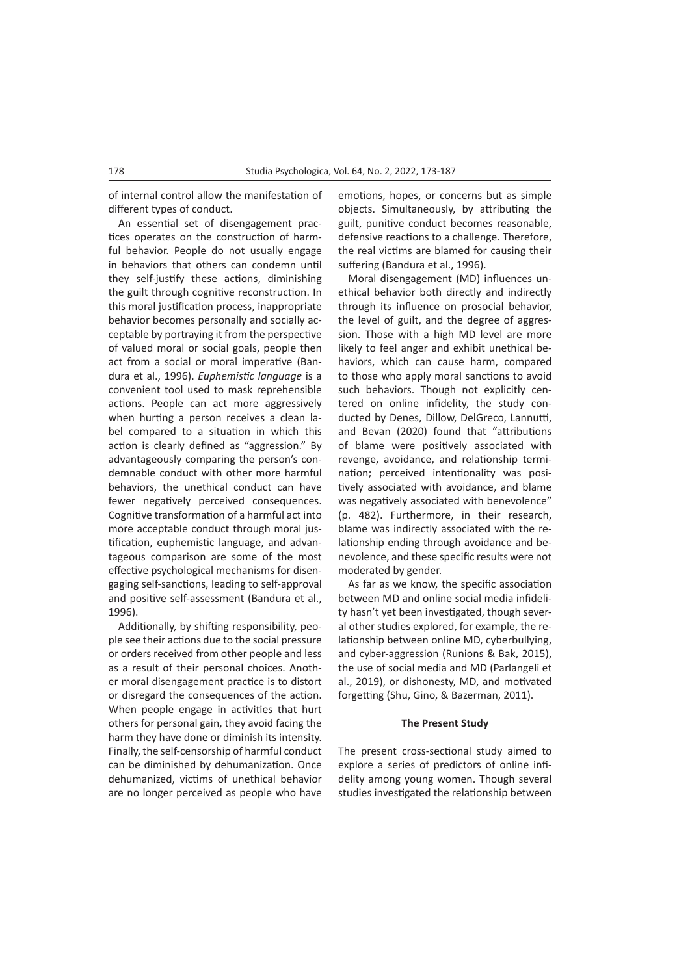of internal control allow the manifestation of different types of conduct.

An essential set of disengagement practices operates on the construction of harmful behavior. People do not usually engage in behaviors that others can condemn until they self-justify these actions, diminishing the guilt through cognitive reconstruction. In this moral justification process, inappropriate behavior becomes personally and socially acceptable by portraying it from the perspective of valued moral or social goals, people then act from a social or moral imperative (Bandura et al., 1996). *Euphemistic language* is a convenient tool used to mask reprehensible actions. People can act more aggressively when hurting a person receives a clean label compared to a situation in which this action is clearly defined as "aggression." By advantageously comparing the person's condemnable conduct with other more harmful behaviors, the unethical conduct can have fewer negatively perceived consequences. Cognitive transformation of a harmful act into more acceptable conduct through moral justification, euphemistic language, and advantageous comparison are some of the most effective psychological mechanisms for disengaging self-sanctions, leading to self-approval and positive self-assessment (Bandura et al., 1996).

Additionally, by shifting responsibility, people see their actions due to the social pressure or orders received from other people and less as a result of their personal choices. Another moral disengagement practice is to distort or disregard the consequences of the action. When people engage in activities that hurt others for personal gain, they avoid facing the harm they have done or diminish its intensity. Finally, the self-censorship of harmful conduct can be diminished by dehumanization. Once dehumanized, victims of unethical behavior are no longer perceived as people who have

emotions, hopes, or concerns but as simple objects. Simultaneously, by attributing the guilt, punitive conduct becomes reasonable, defensive reactions to a challenge. Therefore, the real victims are blamed for causing their suffering (Bandura et al., 1996).

Moral disengagement (MD) influences unethical behavior both directly and indirectly through its influence on prosocial behavior, the level of guilt, and the degree of aggression. Those with a high MD level are more likely to feel anger and exhibit unethical behaviors, which can cause harm, compared to those who apply moral sanctions to avoid such behaviors. Though not explicitly centered on online infidelity, the study conducted by Denes, Dillow, DelGreco, Lannutti, and Bevan (2020) found that "attributions of blame were positively associated with revenge, avoidance, and relationship termination; perceived intentionality was positively associated with avoidance, and blame was negatively associated with benevolence" (p. 482). Furthermore, in their research, blame was indirectly associated with the relationship ending through avoidance and benevolence, and these specific results were not moderated by gender.

As far as we know, the specific association between MD and online social media infidelity hasn't yet been investigated, though several other studies explored, for example, the relationship between online MD, cyberbullying, and cyber-aggression (Runions & Bak, 2015), the use of social media and MD (Parlangeli et al., 2019), or dishonesty, MD, and motivated forgetting (Shu, Gino, & Bazerman, 2011).

#### **The Present Study**

The present cross-sectional study aimed to explore a series of predictors of online infidelity among young women. Though several studies investigated the relationship between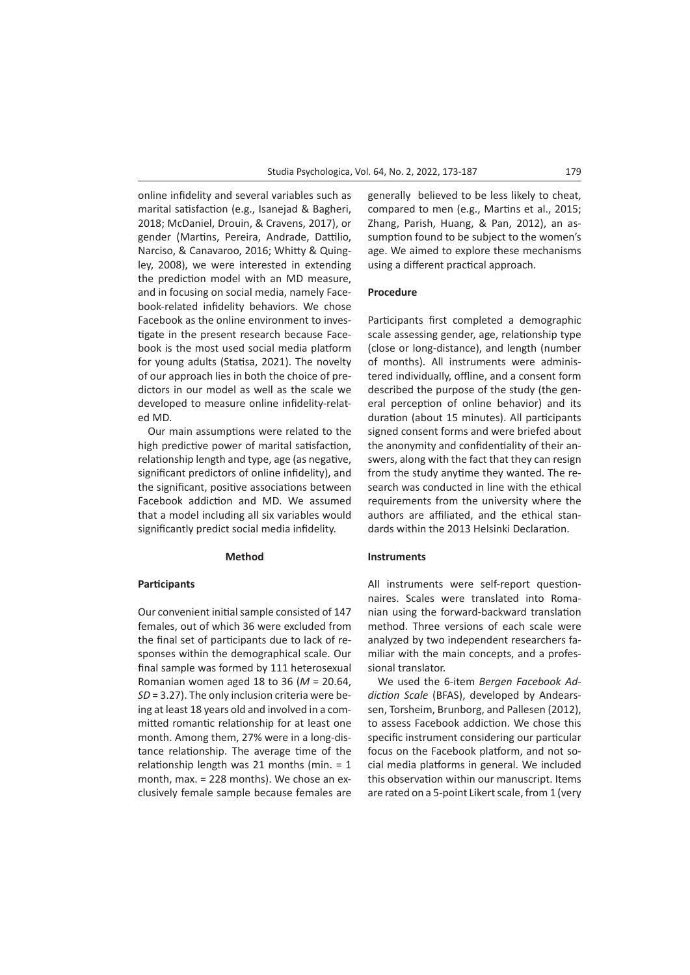online infidelity and several variables such as marital satisfaction (e.g., Isanejad & Bagheri, 2018; McDaniel, Drouin, & Cravens, 2017), or gender (Martins, Pereira, Andrade, Dattilio, Narciso, & Canavaroo, 2016; Whitty & Quingley, 2008), we were interested in extending the prediction model with an MD measure, and in focusing on social media, namely Facebook-related infidelity behaviors. We chose Facebook as the online environment to investigate in the present research because Facebook is the most used social media platform for young adults (Statisa, 2021). The novelty of our approach lies in both the choice of predictors in our model as well as the scale we developed to measure online infidelity-related MD.

Our main assumptions were related to the high predictive power of marital satisfaction, relationship length and type, age (as negative, significant predictors of online infidelity), and the significant, positive associations between Facebook addiction and MD. We assumed that a model including all six variables would significantly predict social media infidelity.

### **Method**

### **Participants**

Our convenient initial sample consisted of 147 females, out of which 36 were excluded from the final set of participants due to lack of responses within the demographical scale. Our final sample was formed by 111 heterosexual Romanian women aged 18 to 36 (*M* = 20.64, *SD* = 3.27). The only inclusion criteria were being at least 18 years old and involved in a committed romantic relationship for at least one month. Among them, 27% were in a long-distance relationship. The average time of the relationship length was 21 months (min. = 1 month, max. = 228 months). We chose an exclusively female sample because females are

generally believed to be less likely to cheat, compared to men (e.g., Martins et al., 2015; Zhang, Parish, Huang, & Pan, 2012), an assumption found to be subject to the women's age. We aimed to explore these mechanisms using a different practical approach.

#### **Procedure**

Participants first completed a demographic scale assessing gender, age, relationship type (close or long-distance), and length (number of months). All instruments were administered individually, offline, and a consent form described the purpose of the study (the general perception of online behavior) and its duration (about 15 minutes). All participants signed consent forms and were briefed about the anonymity and confidentiality of their answers, along with the fact that they can resign from the study anytime they wanted. The research was conducted in line with the ethical requirements from the university where the authors are affiliated, and the ethical standards within the 2013 Helsinki Declaration.

# **Instruments**

All instruments were self-report questionnaires. Scales were translated into Romanian using the forward-backward translation method. Three versions of each scale were analyzed by two independent researchers familiar with the main concepts, and a professional translator.

We used the 6-item *Bergen Facebook Addiction Scale* (BFAS), developed by Andearssen, Torsheim, Brunborg, and Pallesen (2012), to assess Facebook addiction. We chose this specific instrument considering our particular focus on the Facebook platform, and not social media platforms in general. We included this observation within our manuscript. Items are rated on a 5-point Likert scale, from 1 (very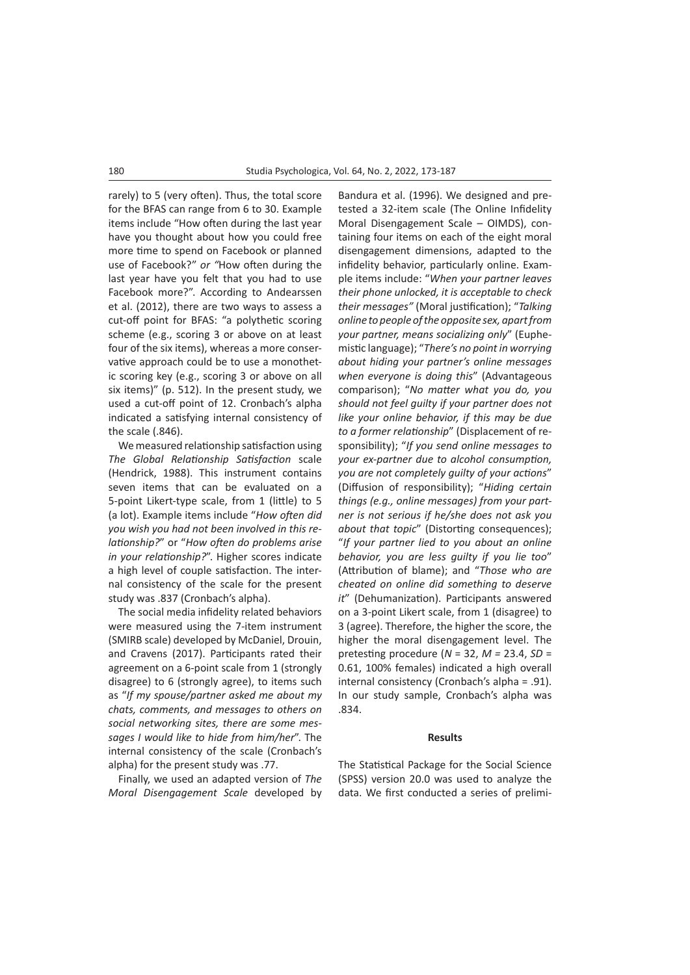rarely) to 5 (very often). Thus, the total score for the BFAS can range from 6 to 30. Example items include "How often during the last year have you thought about how you could free more time to spend on Facebook or planned use of Facebook?" *or "*How often during the last year have you felt that you had to use Facebook more?". According to Andearssen et al. (2012), there are two ways to assess a cut-off point for BFAS: "a polythetic scoring scheme (e.g., scoring 3 or above on at least four of the six items), whereas a more conservative approach could be to use a monothetic scoring key (e.g., scoring 3 or above on all six items)" (p. 512). In the present study, we used a cut-off point of 12. Cronbach's alpha indicated a satisfying internal consistency of the scale (.846).

We measured relationship satisfaction using *The Global Relationship Satisfaction* scale (Hendrick, 1988). This instrument contains seven items that can be evaluated on a 5-point Likert-type scale, from 1 (little) to 5 (a lot). Example items include "*How often did you wish you had not been involved in this relationship?*" or "*How often do problems arise in your relationship?*". Higher scores indicate a high level of couple satisfaction. The internal consistency of the scale for the present study was .837 (Cronbach's alpha).

The social media infidelity related behaviors were measured using the 7-item instrument (SMIRB scale) developed by McDaniel, Drouin, and Cravens (2017). Participants rated their agreement on a 6-point scale from 1 (strongly disagree) to 6 (strongly agree), to items such as "*If my spouse/partner asked me about my chats, comments, and messages to others on social networking sites, there are some messages I would like to hide from him/her*". The internal consistency of the scale (Cronbach's alpha) for the present study was .77.

Finally, we used an adapted version of *The Moral Disengagement Scale* developed by Bandura et al. (1996). We designed and pretested a 32-item scale (The Online Infidelity Moral Disengagement Scale – OIMDS), containing four items on each of the eight moral disengagement dimensions, adapted to the infidelity behavior, particularly online. Example items include: "*When your partner leaves their phone unlocked, it is acceptable to check their messages"* (Moral justification); "*Talking online to people of the opposite sex, apart from your partner, means socializing only*" (Euphemistic language); "*There's no point in worrying about hiding your partner's online messages when everyone is doing this*" (Advantageous comparison); "*No matter what you do, you should not feel guilty if your partner does not like your online behavior, if this may be due to a former relationship*" (Displacement of responsibility); "*If you send online messages to your ex-partner due to alcohol consumption, you are not completely guilty of your actions*" (Diffusion of responsibility); "*Hiding certain things (e.g., online messages) from your partner is not serious if he/she does not ask you about that topic*" (Distorting consequences); "*If your partner lied to you about an online behavior, you are less guilty if you lie too*" (Attribution of blame); and "*Those who are cheated on online did something to deserve it*" (Dehumanization). Participants answered on a 3-point Likert scale, from 1 (disagree) to 3 (agree). Therefore, the higher the score, the higher the moral disengagement level. The pretesting procedure (*N* = 32, *M =* 23.4, *SD* = 0.61, 100% females) indicated a high overall internal consistency (Cronbach's alpha = .91). In our study sample, Cronbach's alpha was .834.

### **Results**

The Statistical Package for the Social Science (SPSS) version 20.0 was used to analyze the data. We first conducted a series of prelimi-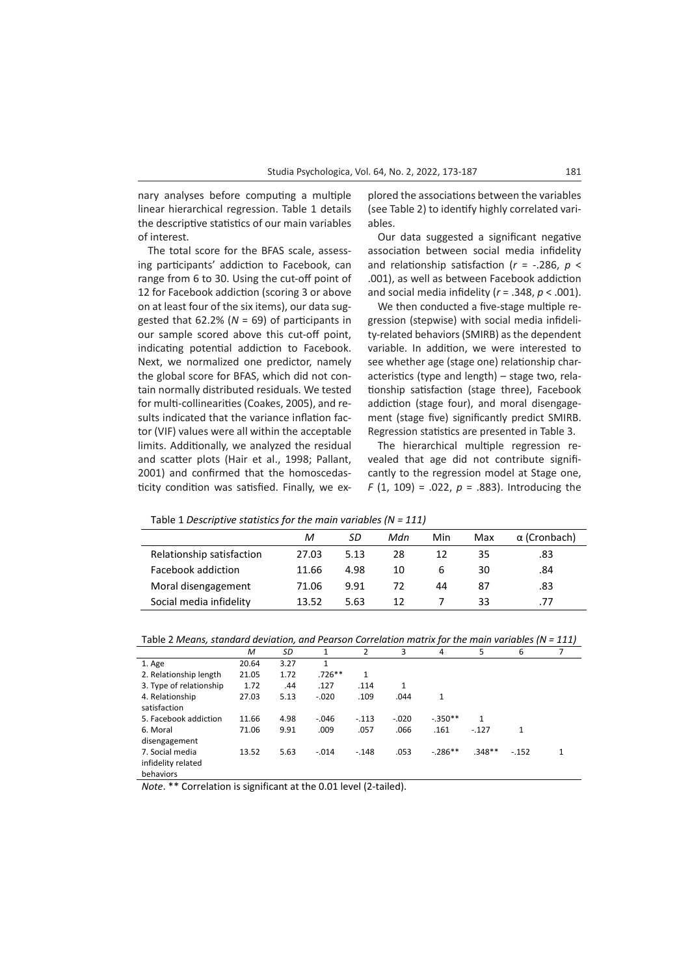nary analyses before computing a multiple linear hierarchical regression. Table 1 details the descriptive statistics of our main variables of interest.

The total score for the BFAS scale, assessing participants' addiction to Facebook, can range from 6 to 30. Using the cut-off point of 12 for Facebook addiction (scoring 3 or above on at least four of the six items), our data suggested that 62.2% (*N* = 69) of participants in our sample scored above this cut-off point, indicating potential addiction to Facebook. Next, we normalized one predictor, namely the global score for BFAS, which did not contain normally distributed residuals. We tested for multi-collinearities (Coakes, 2005), and results indicated that the variance inflation factor (VIF) values were all within the acceptable limits. Additionally, we analyzed the residual and scatter plots (Hair et al., 1998; Pallant, 2001) and confirmed that the homoscedasticity condition was satisfied. Finally, we explored the associations between the variables (see Table 2) to identify highly correlated variables.

Our data suggested a significant negative association between social media infidelity and relationship satisfaction (*r* = -.286, *p* < .001), as well as between Facebook addiction and social media infidelity (*r* = .348, *p* < .001).

We then conducted a five-stage multiple regression (stepwise) with social media infidelity-related behaviors (SMIRB) as the dependent variable. In addition, we were interested to see whether age (stage one) relationship characteristics (type and length) – stage two, relationship satisfaction (stage three), Facebook addiction (stage four), and moral disengagement (stage five) significantly predict SMIRB. Regression statistics are presented in Table 3.

The hierarchical multiple regression revealed that age did not contribute significantly to the regression model at Stage one, *F* (1, 109) = .022, *p* = .883). Introducing the

Table 1 *Descriptive statistics for the main variables (N = 111)*

|                           | М     | SD   | Mdn | Min | Max | $\alpha$ (Cronbach) |
|---------------------------|-------|------|-----|-----|-----|---------------------|
| Relationship satisfaction | 27.03 | 5.13 | 28  | 12  | 35  | .83                 |
| Facebook addiction        | 11.66 | 4.98 | 10  | h   | 30  | .84                 |
| Moral disengagement       | 71.06 | 9.91 | 72  | 44  | 87  | .83                 |
| Social media infidelity   | 13.52 | 5.63 | 12  |     | 33  | .77                 |

|                         | M     | SD   | 1        | $\overline{2}$ | 3       | 4         | 5        | 6      |  |
|-------------------------|-------|------|----------|----------------|---------|-----------|----------|--------|--|
| 1. Age                  | 20.64 | 3.27 | 1        |                |         |           |          |        |  |
| 2. Relationship length  | 21.05 | 1.72 | $.726**$ | 1              |         |           |          |        |  |
| 3. Type of relationship | 1.72  | .44  | .127     | .114           | 1       |           |          |        |  |
| 4. Relationship         | 27.03 | 5.13 | $-.020$  | .109           | .044    | 1         |          |        |  |
| satisfaction            |       |      |          |                |         |           |          |        |  |
| 5. Facebook addiction   | 11.66 | 4.98 | $-.046$  | $-.113$        | $-.020$ | $-.350**$ | 1        |        |  |
| 6. Moral                | 71.06 | 9.91 | .009     | .057           | .066    | .161      | $-.127$  | 1      |  |
| disengagement           |       |      |          |                |         |           |          |        |  |
| 7. Social media         | 13.52 | 5.63 | $-.014$  | $-.148$        | .053    | $-.286**$ | $.348**$ | $-152$ |  |
| infidelity related      |       |      |          |                |         |           |          |        |  |
| behaviors               |       |      |          |                |         |           |          |        |  |

*Note*. \*\* Correlation is significant at the 0.01 level (2-tailed).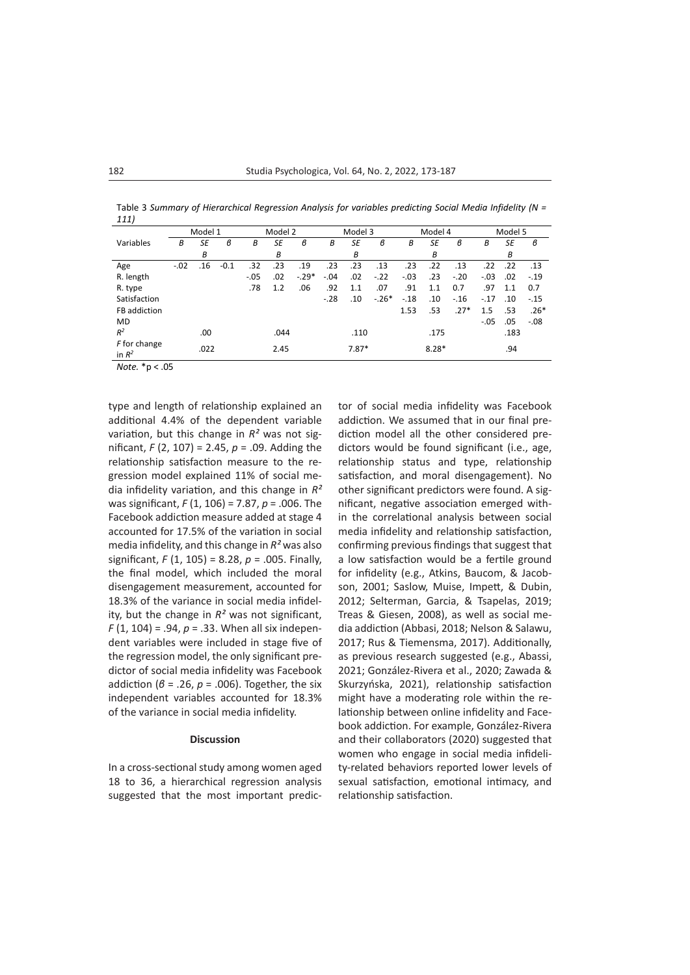Table 3 *Summary of Hierarchical Regression Analysis for variables predicting Social Media Infidelity (N = 111)*

|                          | Model 1 |      |        | Model 2 |      |         | Model 3 |         |         | Model 4 |         |        | Model 5 |      |        |
|--------------------------|---------|------|--------|---------|------|---------|---------|---------|---------|---------|---------|--------|---------|------|--------|
| Variables                | В       | SE   | в      | В       | SE   | в       | B       | SE      | в       | B       | SE      | в      | В       | SE   | в      |
|                          |         | В    |        |         | В    |         |         | B       |         |         | В       |        |         | В    |        |
| Age                      | $-.02$  | .16  | $-0.1$ | .32     | .23  | .19     | .23     | .23     | .13     | .23     | .22     | .13    | .22     | .22  | .13    |
| R. length                |         |      |        | $-.05$  | .02  | $-.29*$ | $-.04$  | .02     | $-.22$  | $-.03$  | .23     | $-.20$ | $-.03$  | .02  | $-.19$ |
| R. type                  |         |      |        | .78     | 1.2  | .06     | .92     | 1.1     | .07     | .91     | 1.1     | 0.7    | .97     | 1.1  | 0.7    |
| Satisfaction             |         |      |        |         |      |         | $-.28$  | .10     | $-.26*$ | $-.18$  | .10     | $-.16$ | $-.17$  | .10  | $-.15$ |
| FB addiction             |         |      |        |         |      |         |         |         |         | 1.53    | .53     | $.27*$ | 1.5     | .53  | $.26*$ |
| MD                       |         |      |        |         |      |         |         |         |         |         |         |        | $-.05$  | .05  | $-.08$ |
| $R^2$                    |         | .00  |        |         | .044 |         |         | .110    |         |         | .175    |        |         | .183 |        |
| F for change<br>in $R^2$ |         | .022 |        |         | 2.45 |         |         | $7.87*$ |         |         | $8.28*$ |        |         | .94  |        |

*Note.* \*p < .05

type and length of relationship explained an additional 4.4% of the dependent variable variation, but this change in *R²* was not significant, *F* (2, 107) = 2.45, *p* = .09. Adding the relationship satisfaction measure to the regression model explained 11% of social media infidelity variation, and this change in *R²*  was significant, *F* (1, 106) = 7.87, *p* = .006. The Facebook addiction measure added at stage 4 accounted for 17.5% of the variation in social media infidelity, and this change in *R²* was also significant, *F* (1, 105) = 8.28, *p* = .005. Finally, the final model, which included the moral disengagement measurement, accounted for 18.3% of the variance in social media infidelity, but the change in *R²* was not significant, *F* (1, 104) = .94, *p* = .33. When all six independent variables were included in stage five of the regression model, the only significant predictor of social media infidelity was Facebook addiction (*β* = .26, *p* = .006). Together, the six independent variables accounted for 18.3% of the variance in social media infidelity.

# **Discussion**

In a cross-sectional study among women aged 18 to 36, a hierarchical regression analysis suggested that the most important predictor of social media infidelity was Facebook addiction. We assumed that in our final prediction model all the other considered predictors would be found significant (i.e., age, relationship status and type, relationship satisfaction, and moral disengagement). No other significant predictors were found. A significant, negative association emerged within the correlational analysis between social media infidelity and relationship satisfaction, confirming previous findings that suggest that a low satisfaction would be a fertile ground for infidelity (e.g., Atkins, Baucom, & Jacobson, 2001; Saslow, Muise, Impett, & Dubin, 2012; Selterman, Garcia, & Tsapelas, 2019; Treas & Giesen, 2008), as well as social media addiction (Abbasi, 2018; Nelson & Salawu, 2017; Rus & Tiemensma, 2017). Additionally, as previous research suggested (e.g., Abassi, 2021; González-Rivera et al., 2020; Zawada & Skurzyńska, 2021), relationship satisfaction might have a moderating role within the relationship between online infidelity and Facebook addiction. For example, González-Rivera and their collaborators (2020) suggested that women who engage in social media infidelity-related behaviors reported lower levels of sexual satisfaction, emotional intimacy, and relationship satisfaction.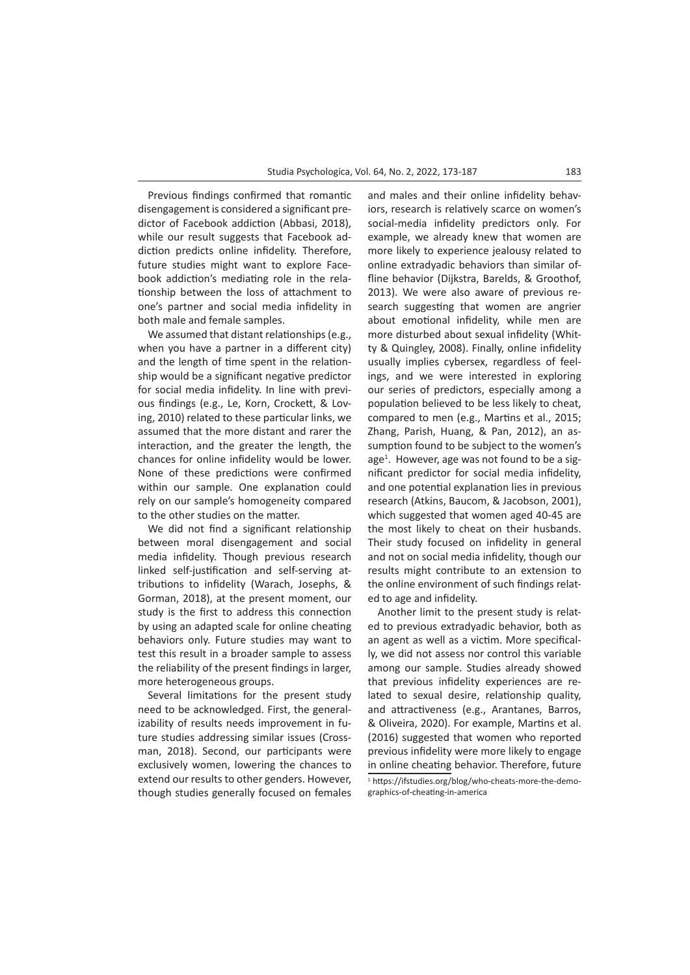Previous findings confirmed that romantic disengagement is considered a significant predictor of Facebook addiction (Abbasi, 2018), while our result suggests that Facebook addiction predicts online infidelity. Therefore, future studies might want to explore Facebook addiction's mediating role in the relationship between the loss of attachment to one's partner and social media infidelity in both male and female samples.

We assumed that distant relationships (e.g., when you have a partner in a different city) and the length of time spent in the relationship would be a significant negative predictor for social media infidelity. In line with previous findings (e.g., Le, Korn, Crockett, & Loving, 2010) related to these particular links, we assumed that the more distant and rarer the interaction, and the greater the length, the chances for online infidelity would be lower. None of these predictions were confirmed within our sample. One explanation could rely on our sample's homogeneity compared to the other studies on the matter.

We did not find a significant relationship between moral disengagement and social media infidelity. Though previous research linked self-justification and self-serving attributions to infidelity (Warach, Josephs, & Gorman, 2018), at the present moment, our study is the first to address this connection by using an adapted scale for online cheating behaviors only. Future studies may want to test this result in a broader sample to assess the reliability of the present findings in larger, more heterogeneous groups.

Several limitations for the present study need to be acknowledged. First, the generalizability of results needs improvement in future studies addressing similar issues (Crossman, 2018). Second, our participants were exclusively women, lowering the chances to extend our results to other genders. However, though studies generally focused on females and males and their online infidelity behaviors, research is relatively scarce on women's social-media infidelity predictors only. For example, we already knew that women are more likely to experience jealousy related to online extradyadic behaviors than similar offline behavior (Dijkstra, Barelds, & Groothof, 2013). We were also aware of previous research suggesting that women are angrier about emotional infidelity, while men are more disturbed about sexual infidelity (Whitty & Quingley, 2008). Finally, online infidelity usually implies cybersex, regardless of feelings, and we were interested in exploring our series of predictors, especially among a population believed to be less likely to cheat, compared to men (e.g., Martins et al., 2015; Zhang, Parish, Huang, & Pan, 2012), an assumption found to be subject to the women's age<sup>1</sup>. However, age was not found to be a significant predictor for social media infidelity, and one potential explanation lies in previous research (Atkins, Baucom, & Jacobson, 2001), which suggested that women aged 40-45 are the most likely to cheat on their husbands. Their study focused on infidelity in general and not on social media infidelity, though our results might contribute to an extension to the online environment of such findings related to age and infidelity.

Another limit to the present study is related to previous extradyadic behavior, both as an agent as well as a victim. More specifically, we did not assess nor control this variable among our sample. Studies already showed that previous infidelity experiences are related to sexual desire, relationship quality, and attractiveness (e.g., Arantanes, Barros, & Oliveira, 2020). For example, Martins et al. (2016) suggested that women who reported previous infidelity were more likely to engage in online cheating behavior. Therefore, future 1 https://ifstudies.org/blog/who-cheats-more-the-demographics-of-cheating-in-america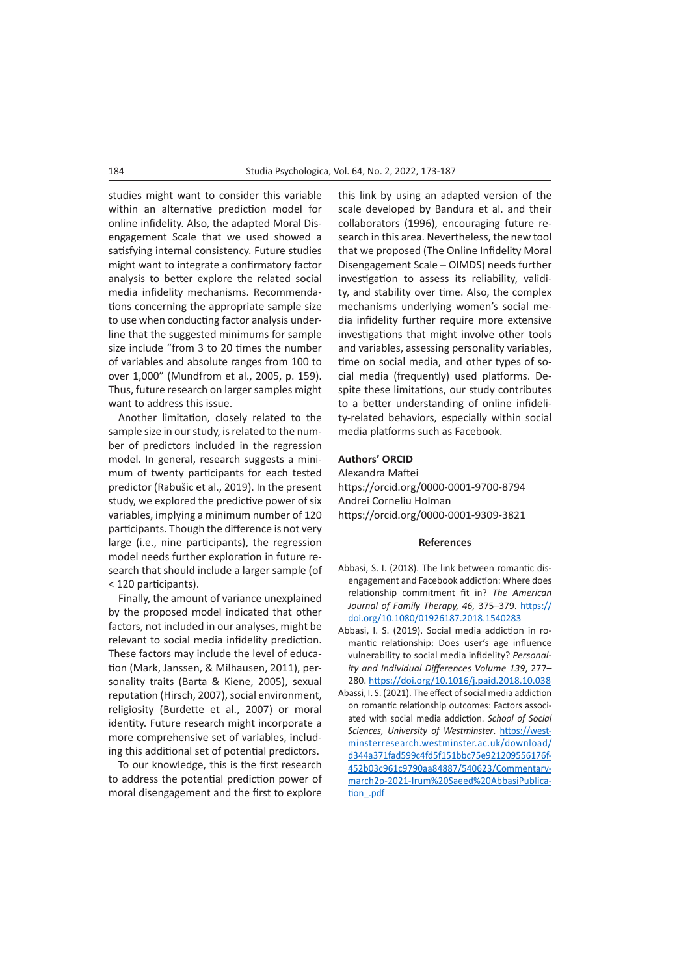studies might want to consider this variable within an alternative prediction model for online infidelity. Also, the adapted Moral Disengagement Scale that we used showed a satisfying internal consistency. Future studies might want to integrate a confirmatory factor analysis to better explore the related social media infidelity mechanisms. Recommendations concerning the appropriate sample size to use when conducting factor analysis underline that the suggested minimums for sample size include "from 3 to 20 times the number of variables and absolute ranges from 100 to over 1,000" (Mundfrom et al., 2005, p. 159). Thus, future research on larger samples might want to address this issue.

Another limitation, closely related to the sample size in our study, is related to the number of predictors included in the regression model. In general, research suggests a minimum of twenty participants for each tested predictor (Rabušic et al., 2019). In the present study, we explored the predictive power of six variables, implying a minimum number of 120 participants. Though the difference is not very large (i.e., nine participants), the regression model needs further exploration in future research that should include a larger sample (of < 120 participants).

Finally, the amount of variance unexplained by the proposed model indicated that other factors, not included in our analyses, might be relevant to social media infidelity prediction. These factors may include the level of education (Mark, Janssen, & Milhausen, 2011), personality traits (Barta & Kiene, 2005), sexual reputation (Hirsch, 2007), social environment, religiosity (Burdette et al., 2007) or moral identity. Future research might incorporate a more comprehensive set of variables, including this additional set of potential predictors.

To our knowledge, this is the first research to address the potential prediction power of moral disengagement and the first to explore

this link by using an adapted version of the scale developed by Bandura et al. and their collaborators (1996), encouraging future research in this area. Nevertheless, the new tool that we proposed (The Online Infidelity Moral Disengagement Scale – OIMDS) needs further investigation to assess its reliability, validity, and stability over time. Also, the complex mechanisms underlying women's social media infidelity further require more extensive investigations that might involve other tools and variables, assessing personality variables, time on social media, and other types of social media (frequently) used platforms. Despite these limitations, our study contributes to a better understanding of online infidelity-related behaviors, especially within social media platforms such as Facebook.

# **Authors' ORCID**

Alexandra Maftei <https://orcid.org/0000-0001-9700-8794> Andrei Corneliu Holman <https://orcid.org/0000-0001-9309-3821>

#### **References**

- Abbasi, S. I. (2018). The link between romantic disengagement and Facebook addiction: Where does relationship commitment fit in? *The American Journal of Family Therapy, 46,* 375–379. [https://](https://doi.org/10.1080/01926187.2018.1540283) [doi.org/10.1080/01926187.2018.1540283](https://doi.org/10.1080/01926187.2018.1540283)
- Abbasi, I. S. (2019). Social media addiction in romantic relationship: Does user's age influence vulnerability to social media infidelity? *Personality and Individual Differences Volume 139*, 277– 280.<https://doi.org/10.1016/j.paid.2018.10.038>
- Abassi, I. S. (2021). The effect of social media addiction on romantic relationship outcomes: Factors associated with social media addiction. *School of Social Sciences, University of Westminster*. [https://west](https://westminsterresearch.westminster.ac.uk/download/d344a371fad599c4fd5f151bbc75e921209556176f452)[minsterresearch.westminster.ac.uk/download/](https://westminsterresearch.westminster.ac.uk/download/d344a371fad599c4fd5f151bbc75e921209556176f452) [d344a371fad599c4fd5f151bbc75e921209556176f-](https://westminsterresearch.westminster.ac.uk/download/d344a371fad599c4fd5f151bbc75e921209556176f452)[452b03c961c9790aa84887/540623/Commentary](https://westminsterresearch.westminster.ac.uk/download/d344a371fad599c4fd5f151bbc75e921209556176f452)[march2p-2021-Irum%20Saeed%20AbbasiPublica](https://westminsterresearch.westminster.ac.uk/download/d344a371fad599c4fd5f151bbc75e921209556176f452)[tion\\_.pdf](https://westminsterresearch.westminster.ac.uk/download/d344a371fad599c4fd5f151bbc75e921209556176f452)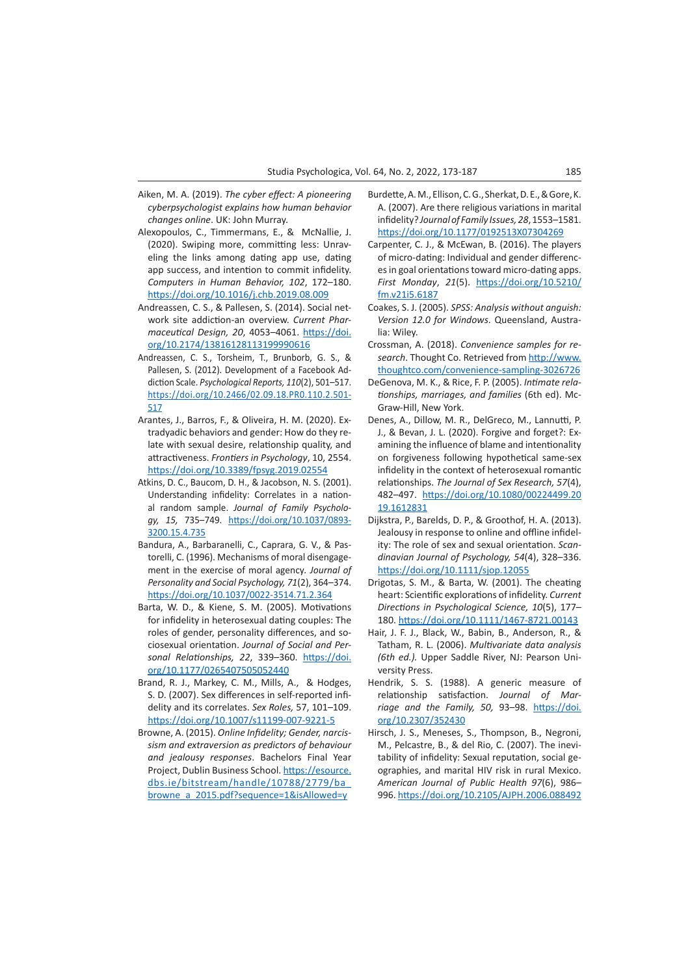- Aiken, M. A. (2019). *The cyber effect: A pioneering cyberpsychologist explains how human behavior changes online*. UK: John Murray.
- Alexopoulos, C., Timmermans, E., & McNallie, J. (2020). Swiping more, committing less: Unraveling the links among dating app use, dating app success, and intention to commit infidelity. *Computers in Human Behavior, 102*, 172–180. <https://doi.org/10.1016/j.chb.2019.08.009>
- Andreassen, C. S., & Pallesen, S. (2014). Social network site addiction-an overview. *Current Pharmaceutical Design, 20*, 4053–4061. [https://doi.](https://doi.org/10.2174/13816128113199990616) [org/10.2174/13816128113199990616](https://doi.org/10.2174/13816128113199990616)
- Andreassen, C. S., Torsheim, T., Brunborb, G. S., & Pallesen, S. (2012). Development of a Facebook Addiction Scale. *Psychological Reports, 110*(2), 501–517. https://doi.org/10.2466/02.09.18.PR0.110.2.501- 517
- Arantes, J., Barros, F., & Oliveira, H. M. (2020). Extradyadic behaviors and gender: How do they relate with sexual desire, relationship quality, and attractiveness. *Frontiers in Psychology*, 10, 2554. <https://doi.org/10.3389/fpsyg.2019.02554>
- Atkins, D. C., Baucom, D. H., & Jacobson, N. S. (2001). Understanding infidelity: Correlates in a national random sample. *Journal of Family Psychology, 15,* 735–749. https://doi.org/10.1037/0893- 3200.15.4.735
- Bandura, A., Barbaranelli, C., Caprara, G. V., & Pastorelli, C. (1996). Mechanisms of moral disengagement in the exercise of moral agency*. Journal of Personality and Social Psychology, 71*(2), 364–374. <https://doi.org/10.1037/0022-3514.71.2.364>
- Barta, W. D., & Kiene, S. M. (2005). Motivations for infidelity in heterosexual dating couples: The roles of gender, personality differences, and sociosexual orientation. *Journal of Social and Personal Relationships, 22*, 339–360. [https://doi.](https://doi.org/10.1177/0265407505052440) [org/10.1177/0265407505052440](https://doi.org/10.1177/0265407505052440)
- Brand, R. J., Markey, C. M., Mills, A., & Hodges, S. D. (2007). Sex differences in self-reported infidelity and its correlates. *Sex Roles,* 57, 101–109. <https://doi.org/10.1007/s11199-007-9221-5>
- Browne, A. (2015). *Online Infidelity; Gender, narcissism and extraversion as predictors of behaviour and jealousy responses*. Bachelors Final Year Project, Dublin Business School. [https://esource.](https://esource.dbs.ie/bitstream/handle/10788/2779/ba_browne_a_2015.pdf?sequence=1&isAllowed=y) [dbs.ie/bitstream/handle/10788/2779/ba\\_](https://esource.dbs.ie/bitstream/handle/10788/2779/ba_browne_a_2015.pdf?sequence=1&isAllowed=y) [browne\\_a\\_2015.pdf?sequence=1&isAllowed=y](https://esource.dbs.ie/bitstream/handle/10788/2779/ba_browne_a_2015.pdf?sequence=1&isAllowed=y)
- Burdette, A. M., Ellison, C. G., Sherkat, D. E., & Gore, K. A. (2007). Are there religious variations in marital infidelity? *Journal of Family Issues, 28*, 1553–1581. <https://doi.org/10.1177/0192513X07304269>
- Carpenter, C. J., & McEwan, B. (2016). The players of micro-dating: Individual and gender differences in goal orientations toward micro-dating apps. *First Monday*, *21*(5). [https://doi.org/10.5210/](https://doi.org/10.5210/fm.v21i5.6187) [fm.v21i5.6187](https://doi.org/10.5210/fm.v21i5.6187)
- Coakes, S. J. (2005). *SPSS: Analysis without anguish: Version 12.0 for Windows*. Queensland, Australia: Wiley.
- Crossman, A. (2018). *Convenience samples for research*. Thought Co. Retrieved from [http://www.](http://www.thoughtco.com/convenience-sampling-3026726 ) [thoughtco.com/convenience-sampling-3026726](http://www.thoughtco.com/convenience-sampling-3026726 )
- DeGenova, M. K., & Rice, F. P. (2005). *Intimate relationships, marriages, and families* (6th ed). Mc-Graw-Hill, New York.
- Denes, A., Dillow, M. R., DelGreco, M., Lannutti, P. J., & Bevan, J. L. (2020). Forgive and forget?: Examining the influence of blame and intentionality on forgiveness following hypothetical same-sex infidelity in the context of heterosexual romantic relationships. *The Journal of Sex Research, 57*(4), 482–497. [https://doi.org/10.1080/00224499.20](https://doi.org/10.1080/00224499.2019.1612831) [19.1612831](https://doi.org/10.1080/00224499.2019.1612831)
- Dijkstra, P., Barelds, D. P., & Groothof, H. A. (2013). Jealousy in response to online and offline infidelity: The role of sex and sexual orientation. *Scandinavian Journal of Psychology, 54*(4), 328–336. <https://doi.org/10.1111/sjop.12055>
- Drigotas, S. M., & Barta, W. (2001). The cheating heart: Scientific explorations of infidelity. *Current Directions in Psychological Science, 10*(5), 177– 180. <https://doi.org/10.1111/1467-8721.00143>
- Hair, J. F. J., Black, W., Babin, B., Anderson, R., & Tatham, R. L. (2006). *Multivariate data analysis (6th ed.).* Upper Saddle River, NJ: Pearson University Press.
- Hendrik, S. S. (1988). A generic measure of relationship satisfaction. *Journal of Marriage and the Family, 50,* 93–98. [https://doi.](https://doi.org/10.2307/352430) [org/10.2307/352430](https://doi.org/10.2307/352430)
- Hirsch, J. S., Meneses, S., Thompson, B., Negroni, M., Pelcastre, B., & del Rio, C. (2007). The inevitability of infidelity: Sexual reputation, social geographies, and marital HIV risk in rural Mexico. *American Journal of Public Health 97*(6), 986– 996.<https://doi.org/10.2105/AJPH.2006.088492>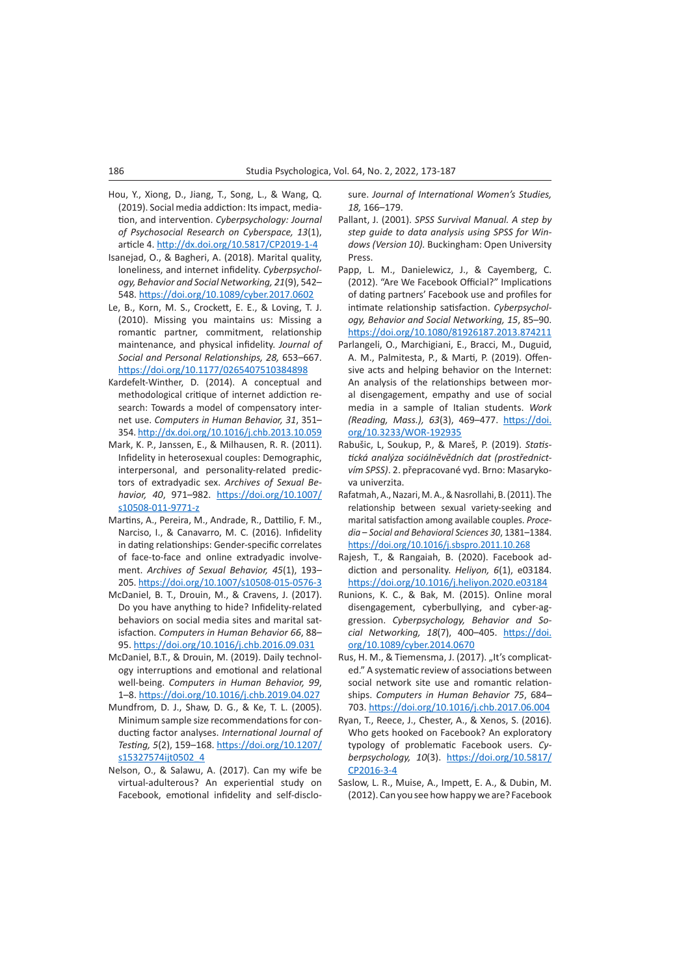- Hou, Y., Xiong, D., Jiang, T., Song, L., & Wang, Q. (2019). Social media addiction: Its impact, mediation, and intervention. *Cyberpsychology: Journal of Psychosocial Research on Cyberspace, 13*(1), article 4.<http://dx.doi.org/10.5817/CP2019-1-4>
- Isanejad, O., & Bagheri, A. (2018). Marital quality, loneliness, and internet infidelity. *Cyberpsychology, Behavior and Social Networking, 21*(9), 542– 548.<https://doi.org/10.1089/cyber.2017.0602>
- Le, B., Korn, M. S., Crockett, E. E., & Loving, T. J. (2010). Missing you maintains us: Missing a romantic partner, commitment, relationship maintenance, and physical infidelity. *Journal of Social and Personal Relationships, 28,* 653–667. <https://doi.org/10.1177/0265407510384898>
- Kardefelt-Winther, D. (2014). A conceptual and methodological critique of internet addiction research: Towards a model of compensatory internet use. *Computers in Human Behavior, 31*, 351– 354.<http://dx.doi.org/10.1016/j.chb.2013.10.059>
- Mark, K. P., Janssen, E., & Milhausen, R. R. (2011). Infidelity in heterosexual couples: Demographic, interpersonal, and personality-related predictors of extradyadic sex. *Archives of Sexual Behavior, 40*, 971–982. [https://doi.org/10.1007/](https://doi.org/10.1007/s10508-011-9771-z) [s10508-011-9771-z](https://doi.org/10.1007/s10508-011-9771-z)
- Martins, A., Pereira, M., Andrade, R., Dattilio, F. M., Narciso, I., & Canavarro, M. C. (2016). Infidelity in dating relationships: Gender-specific correlates of face-to-face and online extradyadic involvement. *Archives of Sexual Behavior, 45*(1), 193– 205.<https://doi.org/10.1007/s10508-015-0576-3>
- McDaniel, B. T., Drouin, M., & Cravens, J. (2017). Do you have anything to hide? Infidelity-related behaviors on social media sites and marital satisfaction. *Computers in Human Behavior 66*, 88– 95.<https://doi.org/10.1016/j.chb.2016.09.031>
- McDaniel, B.T., & Drouin, M. (2019). Daily technology interruptions and emotional and relational well-being. *Computers in Human Behavior, 99*, 1–8. <https://doi.org/10.1016/j.chb.2019.04.027>
- Mundfrom, D. J., Shaw, D. G., & Ke, T. L. (2005). Minimum sample size recommendations for conducting factor analyses. *International Journal of Testing, 5*(2), 159–168. [https://doi.org/10.1207/](https://doi.org/10.1207/s15327574ijt0502_4) [s15327574ijt0502\\_4](https://doi.org/10.1207/s15327574ijt0502_4)
- Nelson, O., & Salawu, A. (2017). Can my wife be virtual-adulterous? An experiential study on Facebook, emotional infidelity and self-disclo-

sure. *Journal of International Women's Studies, 18,* 166–179.

- Pallant, J. (2001). *SPSS Survival Manual. A step by step guide to data analysis using SPSS for Windows (Version 10).* Buckingham: Open University Press.
- Papp, L. M., Danielewicz, J., & Cayemberg, C. (2012). "Are We Facebook Official?" Implications of dating partners' Facebook use and profiles for intimate relationship satisfaction. *Cyberpsychology, Behavior and Social Networking, 15*, 85–90. <https://doi.org/10.1080/81926187.2013.874211>
- Parlangeli, O., Marchigiani, E., Bracci, M., Duguid, A. M., Palmitesta, P., & Marti, P. (2019). Offensive acts and helping behavior on the Internet: An analysis of the relationships between moral disengagement, empathy and use of social media in a sample of Italian students. *Work (Reading, Mass.), 63*(3), 469–477. [https://doi.](https://doi.org/10.3233/WOR-192935) [org/10.3233/WOR-192935](https://doi.org/10.3233/WOR-192935)
- Rabušic, L, Soukup, P., & Mareš, P. (2019). *Statistická analýza sociálněvědních dat (prostřednictvím SPSS)*. 2. přepracované vyd. Brno: Masarykova univerzita.
- Rafatmah, A., Nazari, M. A., & Nasrollahi, B. (2011). The relationship between sexual variety-seeking and marital satisfaction among available couples. *Procedia* – *Social and Behavioral Sciences 30*, 1381–1384. <https://doi.org/10.1016/j.sbspro.2011.10.268>
- Rajesh, T., & Rangaiah, B. (2020). Facebook addiction and personality. *Heliyon, 6*(1), e03184. <https://doi.org/10.1016/j.heliyon.2020.e03184>
- Runions, K. C., & Bak, M. (2015). Online moral disengagement, cyberbullying, and cyber-aggression. *Cyberpsychology, Behavior and Social Networking, 18*(7), 400–405. [https://doi.](https://doi.org/10.1089/cyber.2014.0670) [org/10.1089/cyber.2014.0670](https://doi.org/10.1089/cyber.2014.0670)
- Rus, H. M., & Tiemensma, J. (2017). "It's complicated." A systematic review of associations between social network site use and romantic relationships. *Computers in Human Behavior 75*, 684– 703.<https://doi.org/10.1016/j.chb.2017.06.004>
- Ryan, T., Reece, J., Chester, A., & Xenos, S. (2016). Who gets hooked on Facebook? An exploratory typology of problematic Facebook users. *Cyberpsychology, 10*(3). [https://doi.org/10.5817/](https://doi.org/10.5817/CP2016-3-4) [CP2016-3-4](https://doi.org/10.5817/CP2016-3-4)
- Saslow, L. R., Muise, A., Impett, E. A., & Dubin, M. (2012). Can you see how happy we are? Facebook